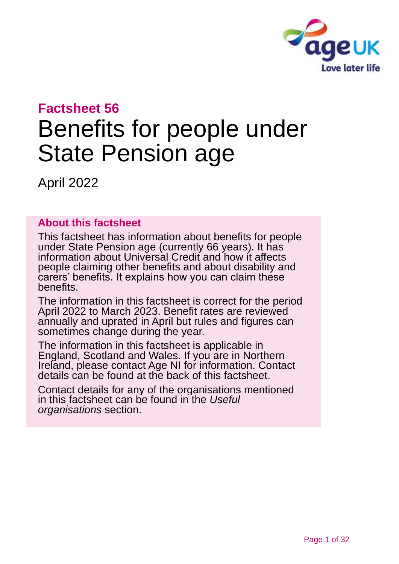

# **Factsheet 56**

# Benefits for people under State Pension age

April 2022

## **About this factsheet**

This factsheet has information about benefits for people under State Pension age (currently 66 years). It has information about Universal Credit and how it affects people claiming other benefits and about disability and carers' benefits. It explains how you can claim these benefits.

The information in this factsheet is correct for the period April 2022 to March 2023. Benefit rates are reviewed annually and uprated in April but rules and figures can sometimes change during the year.

The information in this factsheet is applicable in England, Scotland and Wales. If you are in Northern Ireland, please contact [Age NI](#page-30-0) for information. Contact details can be found at the [back of this factsheet.](#page-30-1)

Contact details for any of the organisations mentioned in this factsheet can be found in the *[Useful](#page-27-0)  [organisations](#page-27-0)* section.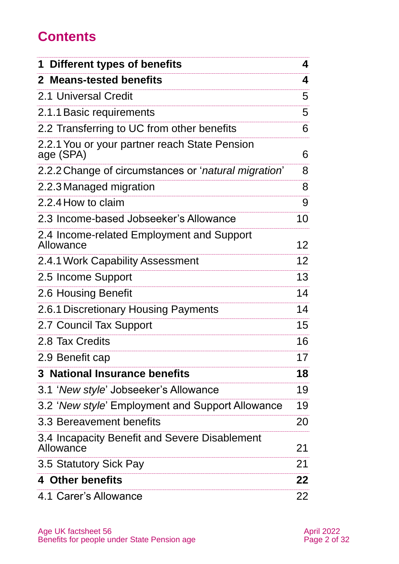# **Contents**

| <b>Different types of benefits</b><br>1                    | 4               |
|------------------------------------------------------------|-----------------|
| 2 Means-tested benefits                                    | 4               |
| 2.1 Universal Credit                                       | 5               |
| 2.1.1 Basic requirements                                   | 5               |
| 2.2 Transferring to UC from other benefits                 | 6               |
| 2.2.1 You or your partner reach State Pension<br>age (SPA) | 6               |
| 2.2.2 Change of circumstances or 'natural migration'       | 8               |
| 2.2.3 Managed migration                                    | 8               |
| 2.2.4 How to claim                                         | 9               |
| 2.3 Income-based Jobseeker's Allowance                     | 10              |
| 2.4 Income-related Employment and Support<br>Allowance     | 12 <sub>2</sub> |
| 2.4.1 Work Capability Assessment                           | 12 <sup>2</sup> |
| 2.5 Income Support                                         | 13              |
| 2.6 Housing Benefit                                        | 14              |
| 2.6.1 Discretionary Housing Payments                       | 14              |
| 2.7 Council Tax Support                                    | 15 <sub>1</sub> |
| 2.8 Tax Credits                                            | 16              |
| 2.9 Benefit cap                                            | 17              |
| 3 National Insurance benefits                              | 18              |
| 3.1 'New style' Jobseeker's Allowance                      | 19              |
| 3.2 'New style' Employment and Support Allowance           | 19              |
| 3.3 Bereavement benefits                                   | 20              |
| 3.4 Incapacity Benefit and Severe Disablement<br>Allowance | 21              |
| 3.5 Statutory Sick Pay                                     | 21              |
| 4 Other benefits                                           | 22              |
| 4.1 Carer's Allowance                                      | 22              |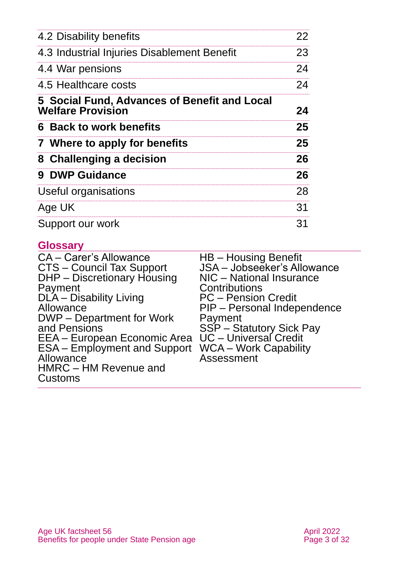| 4.2 Disability benefits                                                  | 22 |
|--------------------------------------------------------------------------|----|
| 4.3 Industrial Injuries Disablement Benefit                              | 23 |
| 4.4 War pensions                                                         | 24 |
| 4.5 Healthcare costs                                                     | 24 |
| 5 Social Fund, Advances of Benefit and Local<br><b>Welfare Provision</b> | 24 |
| 6 Back to work benefits                                                  | 25 |
| 7 Where to apply for benefits                                            | 25 |
| 8 Challenging a decision                                                 | 26 |
| 9 DWP Guidance                                                           | 26 |
| Useful organisations                                                     | 28 |
| Age UK                                                                   | 31 |
| Support our work                                                         | 31 |

## **Glossary**

| <b>CA - Carer's Allowance</b>       | HB – Housing Benefit<br>JSA – Jobseeker's Allowance |
|-------------------------------------|-----------------------------------------------------|
| CTS - Council Tax Support           |                                                     |
| DHP - Discretionary Housing         | NIC - National Insurance                            |
| Payment                             | Contributions                                       |
| DLA - Disability Living             | <b>PC</b> – Pension Credit                          |
| Allowance                           | PIP - Personal Independence                         |
| DWP – Department for Work           | Payment                                             |
| and Pensions                        | SSP – Statutory Sick Pay                            |
| EEA – European Economic Area        | UC - Universal Credit                               |
| <b>ESA</b> – Employment and Support | <b>WCA – Work Capability</b>                        |
| Allowance                           | <b>Assessment</b>                                   |
| HMRC - HM Revenue and               |                                                     |
| Customs                             |                                                     |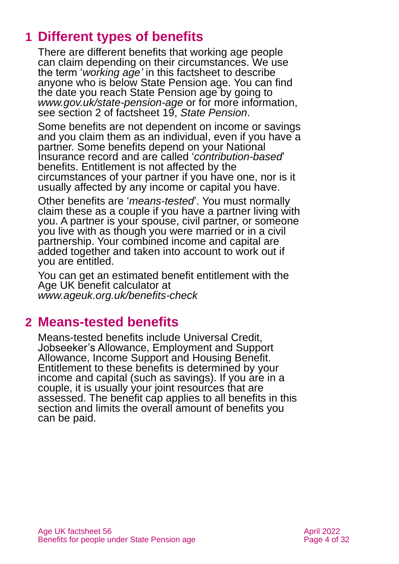# <span id="page-3-0"></span>**1 Different types of benefits**

There are different benefits that working age people can claim depending on their circumstances. We use the term '*working age'* in this factsheet to describe anyone who is below State Pension age. You can find the date you reach State Pension age by going to *[www.gov.uk/state-pension-age](http://www.gov.uk/state-pension-age)* or for more information, see section 2 of factsheet 19, *[State Pension](https://www.ageuk.org.uk/globalassets/age-uk/documents/factsheets/fs19_state_pension_fcs.pdf)*.

Some benefits are not dependent on income or savings and you claim them as an individual, even if you have a partner. Some benefits depend on your National Insurance record and are called '*contribution-based*' benefits. Entitlement is not affected by the circumstances of your partner if you have one, nor is it usually affected by any income or capital you have.

Other benefits are '*means-tested*'. You must normally claim these as a couple if you have a partner living with you. A partner is your spouse, civil partner, or someone you live with as though you were married or in a civil partnership. Your combined income and capital are added together and taken into account to work out if you are entitled.

You can get an estimated benefit entitlement with the Age UK benefit calculator at *[www.ageuk.org.uk/benefits-check](http://www.ageuk.org.uk/benefits-check)*

# <span id="page-3-1"></span>**2 Means-tested benefits**

Means-tested benefits include Universal Credit, Jobseeker's Allowance, Employment and Support Allowance, Income Support and Housing Benefit. Entitlement to these benefits is determined by your income and capital (such as savings). If you are in a couple, it is usually your joint resources that are assessed. The benefit cap applies to all benefits in this section and limits the overall amount of benefits you can be paid.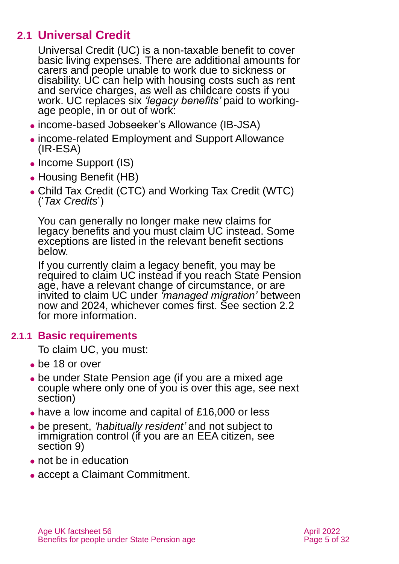## **2.1 Universal Credit**

Universal Credit (UC) is a non-taxable benefit to cover basic living expenses. There are additional amounts for carers and people unable to work due to sickness or disability. UC can help with housing costs such as rent and service charges, as well as childcare costs if you work. UC replaces six *'legacy benefits'* paid to workingage people, in or out of work:

- ⚫ income-based Jobseeker's Allowance (IB-JSA)
- ⚫ income-related Employment and Support Allowance (IR-ESA)
- Income Support (IS)
- ⚫ Housing Benefit (HB)
- ⚫ Child Tax Credit (CTC) and Working Tax Credit (WTC) ('*Tax Credits*')

You can generally no longer make new claims for legacy benefits and you must claim UC instead. Some exceptions are listed in the relevant benefit sections below.

If you currently claim a legacy benefit, you may be required to claim UC instead if you reach State Pension age, have a relevant change of circumstance, or are invited to claim UC under *'managed migration'* between now and 2024, whichever comes first. See [section 2.2](#page-5-0) for more information.

## **2.1.1 Basic requirements**

To claim UC, you must:

- ⚫ be 18 or over
- be under State Pension age (if you are a mixed age couple where only one of you is over this age, see next section)
- ⚫ have a low income and capital of £16,000 or less
- ⚫ be present, *'habitually resident'* and not subject to immigration control (if you are an EEA citizen, see [section 9\)](#page-25-1)
- ⚫ not be in education
- ⚫ accept a Claimant Commitment.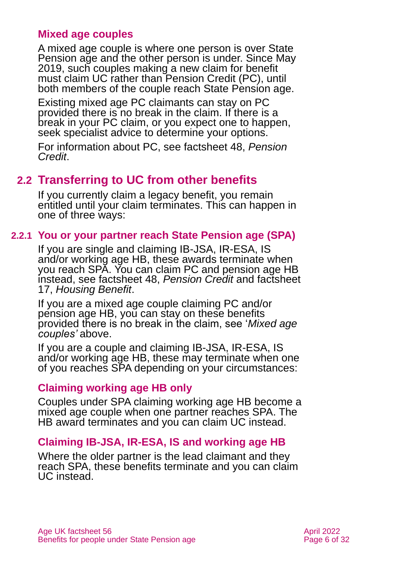#### **Mixed age couples**

A mixed age couple is where one person is over State Pension age and the other person is under. Since May 2019, such couples making a new claim for benefit must claim UC rather than Pension Credit (PC), until both members of the couple reach State Pension age.

Existing mixed age PC claimants can stay on PC provided there is no break in the claim. If there is a break in your PC claim, or you expect one to happen, seek specialist advice to determine your options.

<span id="page-5-0"></span>For information about PC, see [factsheet 48,](https://www.ageuk.org.uk/globalassets/age-uk/documents/factsheets/fs48_pension_credit_fcs.pdf) *Pension [Credit](https://www.ageuk.org.uk/globalassets/age-uk/documents/factsheets/fs48_pension_credit_fcs.pdf)*.

## **2.2 Transferring to UC from other benefits**

If you currently claim a legacy benefit, you remain entitled until your claim terminates. This can happen in one of three ways:

## **2.2.1 You or your partner reach State Pension age (SPA)**

If you are single and claiming IB-JSA, IR-ESA, IS and/or working age HB, these awards terminate when you reach SPA. You can claim PC and pension age HB instead, see factsheet 48, *[Pension Credit](https://www.ageuk.org.uk/globalassets/age-uk/documents/factsheets/fs48_pension_credit_fcs.pdf)* and factsheet 17, *[Housing Benefit](https://www.ageuk.org.uk/globalassets/age-uk/documents/factsheets/fs17_housing_benefit_fcs.pdf)*.

If you are a mixed age couple claiming PC and/or pension age HB, you can stay on these benefits provided there is no break in the claim, see '*Mixed age couples'* above.

If you are a couple and claiming IB-JSA, IR-ESA, IS and/or working age HB, these may terminate when one of you reaches SPA depending on your circumstances:

#### **Claiming working age HB only**

Couples under SPA claiming working age HB become a mixed age couple when one partner reaches SPA. The HB award terminates and you can claim UC instead.

## **Claiming IB-JSA, IR-ESA, IS and working age HB**

Where the older partner is the lead claimant and they reach SPA, these benefits terminate and you can claim UC instead.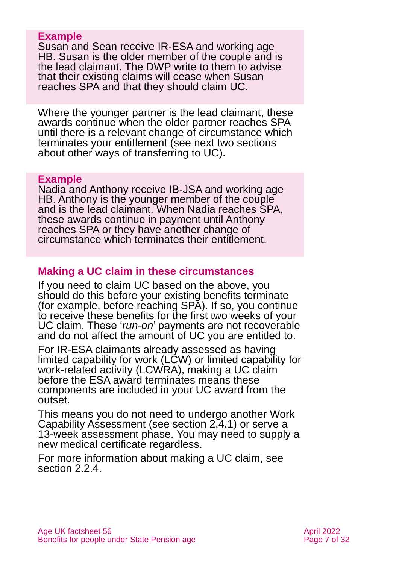#### **Example**

Susan and Sean receive IR-ESA and working age HB. Susan is the older member of the couple and is the lead claimant. The DWP write to them to advise that their existing claims will cease when Susan reaches SPA and that they should claim UC.

Where the younger partner is the lead claimant, these awards continue when the older partner reaches SPA until there is a relevant change of circumstance which terminates your entitlement (see next two sections about other ways of transferring to UC).

#### **Example**

Nadia and Anthony receive IB-JSA and working age HB. Anthony is the younger member of the couple and is the lead claimant. When Nadia reaches SPA, these awards continue in payment until Anthony reaches SPA or they have another change of circumstance which terminates their entitlement.

## **Making a UC claim in these circumstances**

If you need to claim UC based on the above, you should do this before your existing benefits terminate (for example, before reaching SPA). If so, you continue to receive these benefits for the first two weeks of your UC claim. These '*run-on*' payments are not recoverable and do not affect the amount of UC you are entitled to.

For IR-ESA claimants already assessed as having limited capability for work (LCW) or limited capability for work-related activity (LCWRA), making a UC claim before the ESA award terminates means these components are included in your UC award from the outset.

This means you do not need to undergo another Work Capability Assessment (see [section 2.4.1\)](#page-11-0) or serve a 13-week assessment phase. You may need to supply a new medical certificate regardless.

For more information about making a UC claim, see [section 2.2.4.](#page-8-0)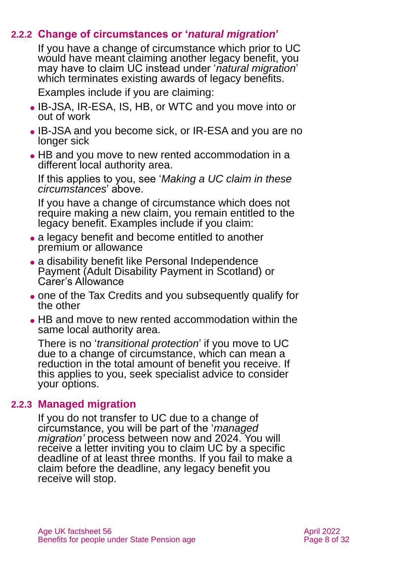## **2.2.2 Change of circumstances or '***natural migration***'**

<span id="page-7-0"></span>If you have a change of circumstance which prior to UC would have meant claiming another legacy benefit, you may have to claim UC instead under '*natural migration*' which terminates existing awards of legacy benefits.

Examples include if you are claiming:

- ⚫ IB-JSA, IR-ESA, IS, HB, or WTC and you move into or out of work
- ⚫ IB-JSA and you become sick, or IR-ESA and you are no longer sick
- HB and you move to new rented accommodation in a different local authority area.

If this applies to you, see '*Making a UC claim in these circumstances*' above.

If you have a change of circumstance which does not require making a new claim, you remain entitled to the legacy benefit. Examples include if you claim:

- a legacy benefit and become entitled to another premium or allowance
- a disability benefit like Personal Independence Payment (Adult Disability Payment in Scotland) or Carer's Allowance
- ⚫ one of the Tax Credits and you subsequently qualify for the other
- HB and move to new rented accommodation within the same local authority area.

There is no '*transitional protection*' if you move to UC due to a change of circumstance, which can mean a reduction in the total amount of benefit you receive. If this applies to you, seek specialist advice to consider your options.

#### **2.2.3 Managed migration**

If you do not transfer to UC due to a change of circumstance, you will be part of the '*managed migration'* process between now and 2024. You will receive a letter inviting you to claim UC by a specific deadline of at least three months. If you fail to make a claim before the deadline, any legacy benefit you receive will stop.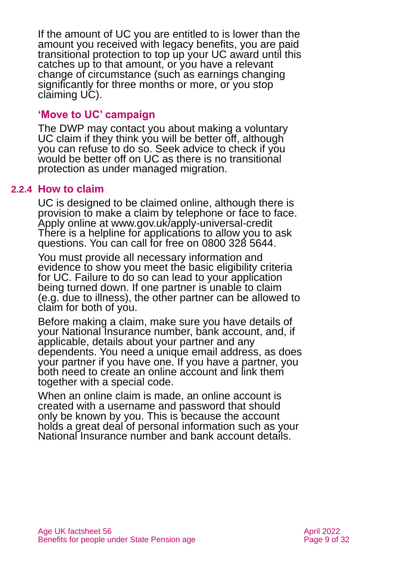If the amount of UC you are entitled to is lower than the amount you received with legacy benefits, you are paid transitional protection to top up your UC award until this catches up to that amount, or you have a relevant change of circumstance (such as earnings changing significantly for three months or more, or you stop claiming UC).

#### **'Move to UC' campaign**

The DWP may contact you about making a voluntary UC claim if they think you will be better off, although you can refuse to do so. Seek advice to check if you would be better off on UC as there is no transitional protection as under managed migration.

#### **2.2.4 How to claim**

<span id="page-8-0"></span>UC is designed to be claimed online, although there is provision to make a claim by telephone or face to face. Apply online at [www.gov.uk/apply-universal-credit](http://www.gov.uk/apply-universal-credit) There is a helpline for applications to allow you to ask questions. You can call for free on 0800 328 5644.

You must provide all necessary information and evidence to show you meet the basic eligibility criteria for UC. Failure to do so can lead to your application being turned down. If one partner is unable to claim (e.g. due to illness), the other partner can be allowed to claim for both of you.

Before making a claim, make sure you have details of your National Insurance number, bank account, and, if applicable, details about your partner and any dependents. You need a unique email address, as does your partner if you have one. If you have a partner, you both need to create an online account and link them together with a special code.

When an online claim is made, an online account is created with a username and password that should only be known by you. This is because the account holds a great deal of personal information such as your National Insurance number and bank account details.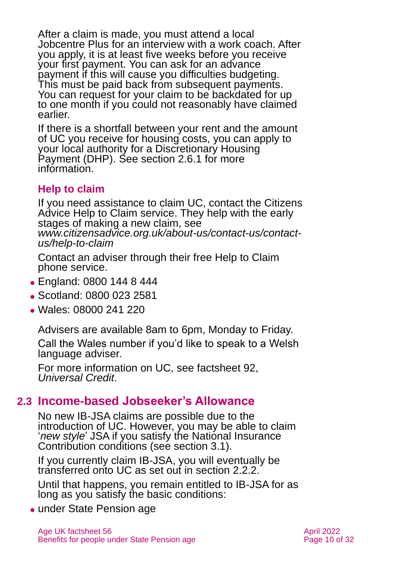After a claim is made, you must attend a local Jobcentre Plus for an interview with a work coach. After you apply, it is at least five weeks before you receive your first payment. You can ask for an advance payment if this will cause you difficulties budgeting. This must be paid back from subsequent payments. You can request for your claim to be backdated for up to one month if you could not reasonably have claimed earlier.

If there is a shortfall between your rent and the amount of UC you receive for housing costs, you can apply to your local authority for a Discretionary Housing Payment (DHP). See [section 2.6.1](#page-13-0) for more information.

## **Help to claim**

If you need assistance to claim UC, contact the Citizens Advice Help to Claim service. They help with the early stages of making a new claim, see *[www.citizensadvice.org.uk/about-us/contact-us/contact](http://www.citizensadvice.org.uk/about-us/contact-us/contact-us/help-to-claim/)[us/help-to-claim](http://www.citizensadvice.org.uk/about-us/contact-us/contact-us/help-to-claim/)*

Contact an adviser through their free Help to Claim phone service.

- ⚫ England: 0800 144 8 444
- Scotland: 0800 023 2581
- ⚫ Wales: 08000 241 220

Advisers are available 8am to 6pm, Monday to Friday.

Call the Wales number if you'd like to speak to a Welsh language adviser.

For more information on UC, see factsheet 92, *[Universal Credit](https://www.ageuk.org.uk/globalassets/age-uk/documents/factsheets/fs92_universal_credit_fcs.pdf)*.

## **2.3 Income-based Jobseeker's Allowance**

No new IB-JSA claims are possible due to the introduction of UC. However, you may be able to claim '*new style*' JSA if you satisfy the National Insurance Contribution conditions [\(see section](#page-18-0) 3.1).

If you currently claim IB-JSA, you will eventually be transferred onto UC as set out in [section](#page-7-0) 2.2.2.

Until that happens, you remain entitled to IB-JSA for as long as you satisfy the basic conditions:

• under State Pension age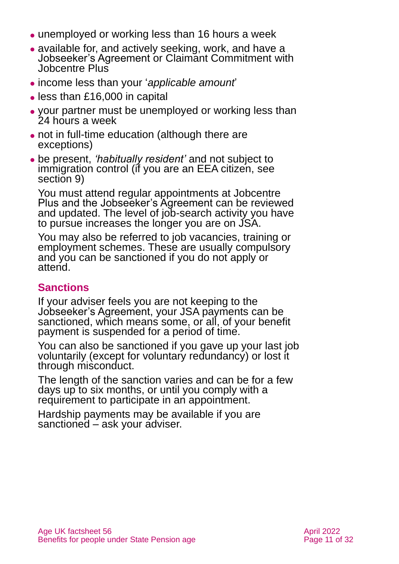- unemployed or working less than 16 hours a week
- ⚫ available for, and actively seeking, work, and have a Jobseeker's Agreement or Claimant Commitment with Jobcentre Plus
- ⚫ income less than your '*applicable amount*'
- ⚫ less than £16,000 in capital
- ⚫ your partner must be unemployed or working less than 24 hours a week
- ⚫ not in full-time education (although there are exceptions)
- ⚫ be present, *'habitually resident'* and not subject to immigration control (if you are an EEA citizen, see [section 9\)](#page-25-1)

You must attend regular appointments at Jobcentre Plus and the Jobseeker's Agreement can be reviewed and updated. The level of job-search activity you have to pursue increases the longer you are on JSA.

You may also be referred to job vacancies, training or employment schemes. These are usually compulsory and you can be sanctioned if you do not apply or attend.

## **Sanctions**

If your adviser feels you are not keeping to the Jobseeker's Agreement, your JSA payments can be sanctioned, which means some, or all, of your benefit payment is suspended for a period of time.

You can also be sanctioned if you gave up your last job voluntarily (except for voluntary redundancy) or lost it through misconduct.

The length of the sanction varies and can be for a few days up to six months, or until you comply with a requirement to participate in an appointment.

Hardship payments may be available if you are sanctioned – ask your adviser.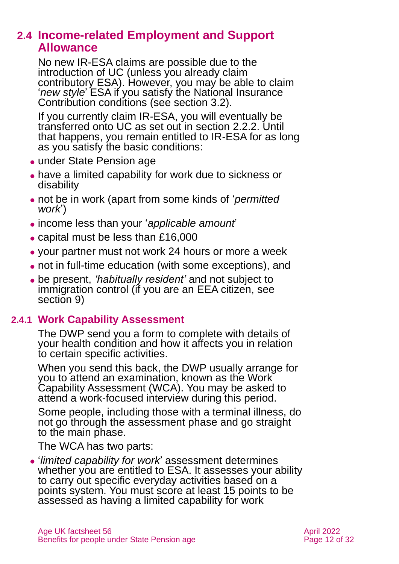## **2.4 Income-related Employment and Support Allowance**

No new IR-ESA claims are possible due to the introduction of UC (unless you already claim contributory ESA). However, you may be able to claim '*new style*' ESA if you satisfy the National Insurance Contribution conditions [\(see section](#page-18-1) 3.2).

If you currently claim IR-ESA, you will eventually be transferred onto UC as set out in [section](#page-7-0) 2.2.2. Until that happens, you remain entitled to IR-ESA for as long as you satisfy the basic conditions:

- ⚫ under State Pension age
- ⚫ have a limited capability for work due to sickness or disability
- ⚫ not be in work (apart from some kinds of '*permitted work*')
- ⚫ income less than your '*applicable amount*'
- ⚫ capital must be less than £16,000
- ⚫ your partner must not work 24 hours or more a week
- ⚫ not in full-time education (with some exceptions), and
- <span id="page-11-0"></span>⚫ be present, *'habitually resident'* and not subject to immigration control (if you are an EEA citizen, see [section 9\)](#page-25-1)

## **2.4.1 Work Capability Assessment**

The DWP send you a form to complete with details of your health condition and how it affects you in relation to certain specific activities.

When you send this back, the DWP usually arrange for you to attend an examination, known as the Work Capability Assessment (WCA). You may be asked to attend a work-focused interview during this period.

Some people, including those with a terminal illness, do not go through the assessment phase and go straight to the main phase.

The WCA has two parts:

⚫ '*limited capability for work*' assessment determines whether you are entitled to ESA. It assesses your ability to carry out specific everyday activities based on a points system. You must score at least 15 points to be assessed as having a limited capability for work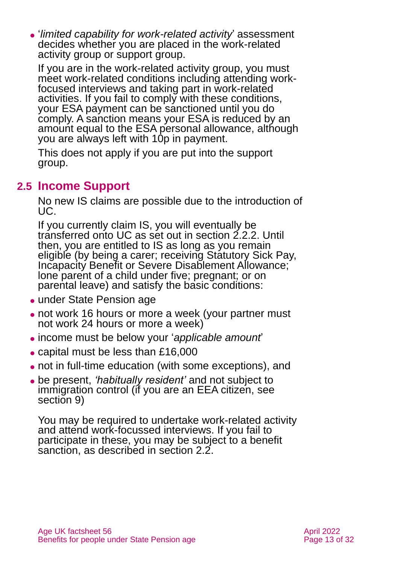⚫ '*limited capability for work-related activity*' assessment decides whether you are placed in the work-related activity group or support group.

If you are in the work-related activity group, you must meet work-related conditions including attending workfocused interviews and taking part in work-related activities. If you fail to comply with these conditions, your ESA payment can be sanctioned until you do comply. A sanction means your ESA is reduced by an amount equal to the ESA personal allowance, although you are always left with 10p in payment.

This does not apply if you are put into the support group.

## **2.5 Income Support**

No new IS claims are possible due to the introduction of UC.

If you currently claim IS, you will eventually be transferred onto UC as set out [in section](#page-7-0) 2.2.2. Until then, you are entitled to IS as long as you remain eligible (by being a carer; receiving Statutory Sick Pay, Incapacity Benefit or Severe Disablement Allowance; lone parent of a child under five; pregnant; or on parental leave) and satisfy the basic conditions:

- under State Pension age
- ⚫ not work 16 hours or more a week (your partner must not work 24 hours or more a week)
- ⚫ income must be below your '*applicable amount*'
- capital must be less than £16,000
- ⚫ not in full-time education (with some exceptions), and
- ⚫ be present, *'habitually resident'* and not subject to immigration control (if you are an EEA citizen, see [section 9\)](#page-25-1)

You may be required to undertake work-related activity and attend work-focussed interviews. If you fail to participate in these, you may be subject to a benefit sanction, as described in [section 2.2.](#page-5-0)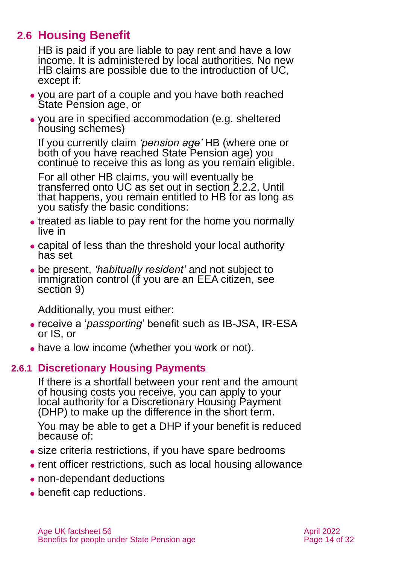## **2.6 Housing Benefit**

HB is paid if you are liable to pay rent and have a low income. It is administered by local authorities. No new HB claims are possible due to the introduction of UC. except if:

- ⚫ you are part of a couple and you have both reached State Pension age, or
- ⚫ you are in specified accommodation (e.g. sheltered housing schemes)

If you currently claim *'pension age'* HB (where one or both of you have reached State Pension age) you continue to receive this as long as you remain eligible.

For all other HB claims, you will eventually be transferred onto UC as set out in [section](#page-5-0) 2.2.2. Until that happens, you remain entitled to HB for as long as you satisfy the basic conditions:

- treated as liable to pay rent for the home you normally live in
- ⚫ capital of less than the threshold your local authority has set
- ⚫ be present, *'habitually resident'* and not subject to immigration control (if you are an EEA citizen, see [section 9\)](#page-25-1)

Additionally, you must either:

- ⚫ receive a '*passporting*' benefit such as IB-JSA, IR-ESA or IS, or
- <span id="page-13-0"></span>• have a low income (whether you work or not).

## **2.6.1 Discretionary Housing Payments**

If there is a shortfall between your rent and the amount of housing costs you receive, you can apply to your local authority for a Discretionary Housing Payment (DHP) to make up the difference in the short term.

You may be able to get a DHP if your benefit is reduced because of:

- ⚫ size criteria restrictions, if you have spare bedrooms
- rent officer restrictions, such as local housing allowance
- ⚫ non-dependant deductions
- benefit cap reductions.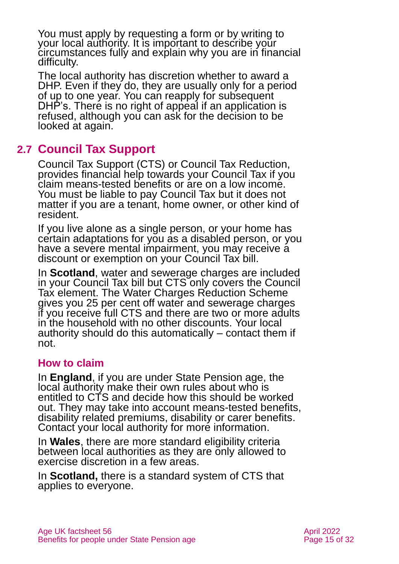You must apply by requesting a form or by writing to your local authority. It is important to describe your circumstances fully and explain why you are in financial difficulty.

The local authority has discretion whether to award a DHP. Even if they do, they are usually only for a period of up to one year. You can reapply for subsequent DHP's. There is no right of appeal if an application is refused, although you can ask for the decision to be looked at again.

## **2.7 Council Tax Support**

Council Tax Support (CTS) or Council Tax Reduction, provides financial help towards your Council Tax if you claim means-tested benefits or are on a low income. You must be liable to pay Council Tax but it does not matter if you are a tenant, home owner, or other kind of resident.

If you live alone as a single person, or your home has certain adaptations for you as a disabled person, or you have a severe mental impairment, you may receive a discount or exemption on your Council Tax bill.

In **Scotland**, water and sewerage charges are included in your Council Tax bill but CTS only covers the Council Tax element. The Water Charges Reduction Scheme gives you 25 per cent off water and sewerage charges if you receive full CTS and there are two or more adults in the household with no other discounts. Your local authority should do this automatically – contact them if not.

#### **How to claim**

In **England**, if you are under State Pension age, the local authority make their own rules about who is entitled to CTS and decide how this should be worked out. They may take into account means-tested benefits, disability related premiums, disability or carer benefits. Contact your local authority for more information.

In **Wales**, there are more standard eligibility criteria between local authorities as they are only allowed to exercise discretion in a few areas.

In **Scotland,** there is a standard system of CTS that applies to everyone.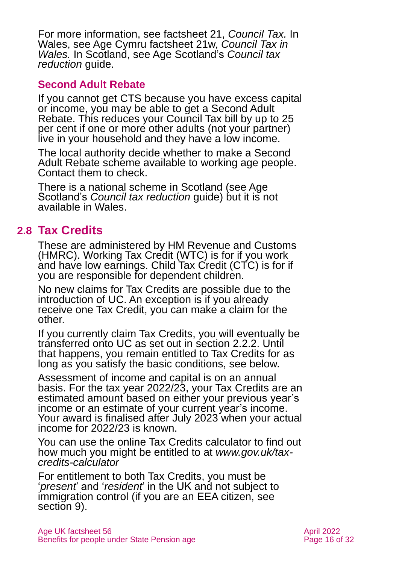For more information, see factsheet 21, *[Council Tax.](https://www.ageuk.org.uk/globalassets/age-uk/documents/factsheets/fs21_council_tax_fcs.pdf)* In Wales, see Age Cymru factsheet 21w, *[Council Tax in](https://www.ageuk.org.uk/globalassets/age-cymru/documents/information-guides-and-factsheets/fs21w.pdf)  [Wales.](https://www.ageuk.org.uk/globalassets/age-cymru/documents/information-guides-and-factsheets/fs21w.pdf)* In Scotland, see Age Scotland's *[Council tax](https://www.ageuk.org.uk/scotland/information-advice/benefits/council-tax-reduction/)  [reduction](https://www.ageuk.org.uk/scotland/information-advice/benefits/council-tax-reduction/)* guide.

## **Second Adult Rebate**

If you cannot get CTS because you have excess capital or income, you may be able to get a Second Adult Rebate. This reduces your Council Tax bill by up to 25 per cent if one or more other adults (not your partner) live in your household and they have a low income.

The local authority decide whether to make a Second Adult Rebate scheme available to working age people. Contact them to check.

There is a national scheme in Scotland (see Age Scotland's *[Council tax reduction](https://www.ageuk.org.uk/scotland/information-advice/benefits/council-tax-reduction/)* guide) but it is not available in Wales.

## **2.8 Tax Credits**

These are administered by HM Revenue and Customs (HMRC). Working Tax Credit (WTC) is for if you work and have low earnings. Child Tax Credit (CTC) is for if you are responsible for dependent children.

No new claims for Tax Credits are possible due to the introduction of UC. An exception is if you already receive one Tax Credit, you can make a claim for the other.

If you currently claim Tax Credits, you will eventually be transferred onto UC as set out in [section 2.2.2.](#page-5-0) Until that happens, you remain entitled to Tax Credits for as long as you satisfy the basic conditions, see below.

Assessment of income and capital is on an annual basis. For the tax year 2022/23, your Tax Credits are an estimated amount based on either your previous year's income or an estimate of your current year's income. Your award is finalised after July 2023 when your actual income for 2022/23 is known.

You can use the online Tax Credits calculator to find out how much you might be entitled to at *[www.gov.uk/tax](http://www.gov.uk/tax-credits-calculator)[credits-calculator](http://www.gov.uk/tax-credits-calculator)*

For entitlement to both Tax Credits, you must be '*present*' and '*resident*' in the UK and not subject to immigration control (if you are an EEA citizen, see [section 9\)](#page-25-1).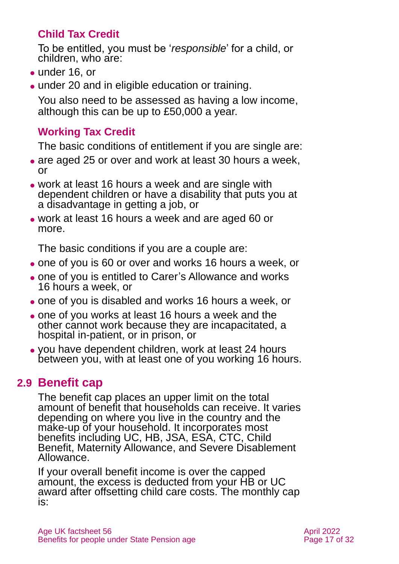## **Child Tax Credit**

To be entitled, you must be '*responsible*' for a child, or children, who are:

- ⚫ under 16, or
- ⚫ under 20 and in eligible education or training.

You also need to be assessed as having a low income, although this can be up to £50,000 a year.

## **Working Tax Credit**

The basic conditions of entitlement if you are single are:

- are aged 25 or over and work at least 30 hours a week, or
- ⚫ work at least 16 hours a week and are single with dependent children or have a disability that puts you at a disadvantage in getting a job, or
- ⚫ work at least 16 hours a week and are aged 60 or more.

The basic conditions if you are a couple are:

- ⚫ one of you is 60 or over and works 16 hours a week, or
- ⚫ one of you is entitled to Carer's Allowance and works 16 hours a week, or
- ⚫ one of you is disabled and works 16 hours a week, or
- ⚫ one of you works at least 16 hours a week and the other cannot work because they are incapacitated, a hospital in-patient, or in prison, or
- ⚫ you have dependent children, work at least 24 hours between you, with at least one of you working 16 hours.

## **2.9 Benefit cap**

The benefit cap places an upper limit on the total amount of benefit that households can receive. It varies depending on where you live in the country and the make-up of your household. It incorporates most benefits including UC, HB, JSA, ESA, CTC, Child Benefit, Maternity Allowance, and Severe Disablement Allowance.

If your overall benefit income is over the capped amount, the excess is deducted from your HB or UC award after offsetting child care costs. The monthly cap is: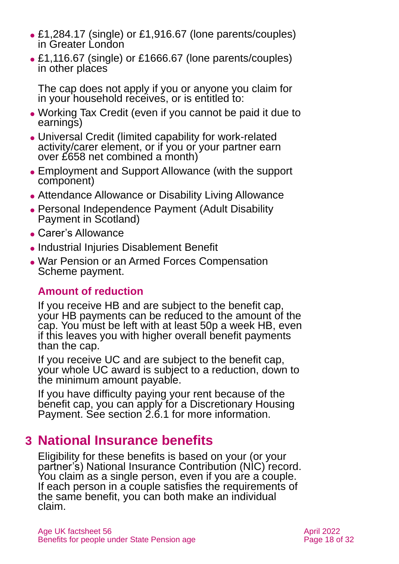- ⚫ £1,284.17 (single) or £1,916.67 (lone parents/couples) in Greater London
- ⚫ £1,116.67 (single) or £1666.67 (lone parents/couples) in other places

The cap does not apply if you or anyone you claim for in your household receives, or is entitled to:

- ⚫ Working Tax Credit (even if you cannot be paid it due to earnings)
- ⚫ Universal Credit (limited capability for work-related activity/carer element, or if you or your partner earn over £658 net combined a month)
- ⚫ Employment and Support Allowance (with the support component)
- ⚫ Attendance Allowance or Disability Living Allowance
- ⚫ Personal Independence Payment (Adult Disability Payment in Scotland)
- ⚫ Carer's Allowance
- ⚫ Industrial Injuries Disablement Benefit
- ⚫ War Pension or an Armed Forces Compensation Scheme payment.

## **Amount of reduction**

If you receive HB and are subject to the benefit cap, your HB payments can be reduced to the amount of the cap. You must be left with at least 50p a week HB, even if this leaves you with higher overall benefit payments than the cap.

If you receive UC and are subject to the benefit cap, your whole UC award is subject to a reduction, down to the minimum amount payable.

If you have difficulty paying your rent because of the benefit cap, you can apply for a Discretionary Housing Payment. See [section 2.6.1](#page-13-0) for more information.

# <span id="page-17-0"></span>**3 National Insurance benefits**

Eligibility for these benefits is based on your (or your partner's) National Insurance Contribution (NIC) record. You claim as a single person, even if you are a couple. If each person in a couple satisfies the requirements of the same benefit, you can both make an individual claim.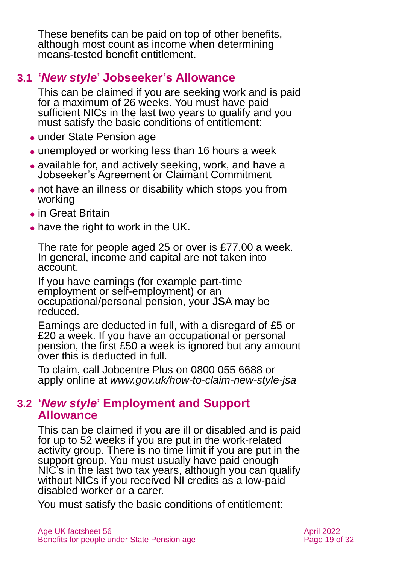These benefits can be paid on top of other benefits, although most count as income when determining means-tested benefit entitlement.

## <span id="page-18-0"></span>**3.1 '***New style***' Jobseeker's Allowance**

This can be claimed if you are seeking work and is paid for a maximum of 26 weeks. You must have paid sufficient NICs in the last two years to qualify and you must satisfy the basic conditions of entitlement:

- under State Pension age
- unemployed or working less than 16 hours a week
- ⚫ available for, and actively seeking, work, and have a Jobseeker's Agreement or Claimant Commitment
- ⚫ not have an illness or disability which stops you from working
- ⚫ in Great Britain
- have the right to work in the UK.

The rate for people aged 25 or over is £77.00 a week. In general, income and capital are not taken into account.

If you have earnings (for example part-time employment or self-employment) or an occupational/personal pension, your JSA may be reduced.

Earnings are deducted in full, with a disregard of £5 or £20 a week. If you have an occupational or personal pension, the first £50 a week is ignored but any amount over this is deducted in full.

<span id="page-18-1"></span>To claim, call Jobcentre Plus on 0800 055 6688 or apply online at *[www.gov.uk/how-to-claim-new-style-jsa](http://www.gov.uk/how-to-claim-new-style-jsa)*

## **3.2 '***New style***' Employment and Support Allowance**

This can be claimed if you are ill or disabled and is paid for up to 52 weeks if you are put in the work-related activity group. There is no time limit if you are put in the support group. You must usually have paid enough NIC's in the last two tax years, although you can qualify without NICs if you received NI credits as a low-paid disabled worker or a carer.

You must satisfy the basic conditions of entitlement: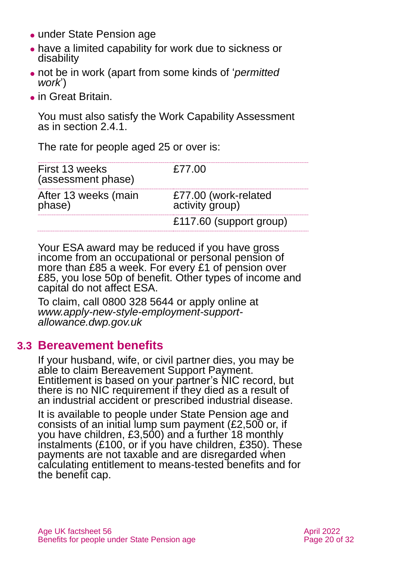- ⚫ under State Pension age
- ⚫ have a limited capability for work due to sickness or disability
- ⚫ not be in work (apart from some kinds of '*permitted work*')
- ⚫ in Great Britain.

You must also satisfy the Work Capability Assessment as in [section 2.4.1.](#page-11-0)

The rate for people aged 25 or over is:

| First 13 weeks<br>(assessment phase) | £77.00                                  |
|--------------------------------------|-----------------------------------------|
| After 13 weeks (main<br>phase)       | £77.00 (work-related<br>activity group) |
|                                      | £117.60 (support group)                 |

Your ESA award may be reduced if you have gross income from an occupational or personal pension of more than £85 a week. For every £1 of pension over £85, you lose 50p of benefit. Other types of income and capital do not affect ESA.

To claim, call 0800 328 5644 or apply online at *[www.apply-new-style-employment-support](http://www.apply-new-style-employment-support-allowance.dwp.gov.uk/)[allowance.dwp.gov.uk](http://www.apply-new-style-employment-support-allowance.dwp.gov.uk/)*

## **3.3 Bereavement benefits**

If your husband, wife, or civil partner dies, you may be able to claim Bereavement Support Payment. Entitlement is based on your partner's NIC record, but there is no NIC requirement if they died as a result of an industrial accident or prescribed industrial disease.

It is available to people under State Pension age and consists of an initial lump sum payment (£2,500 or, if you have children, £3,500) and a further 18 monthly instalments (£100, or if you have children, £350). These payments are not taxable and are disregarded when calculating entitlement to means-tested benefits and for the benefit cap.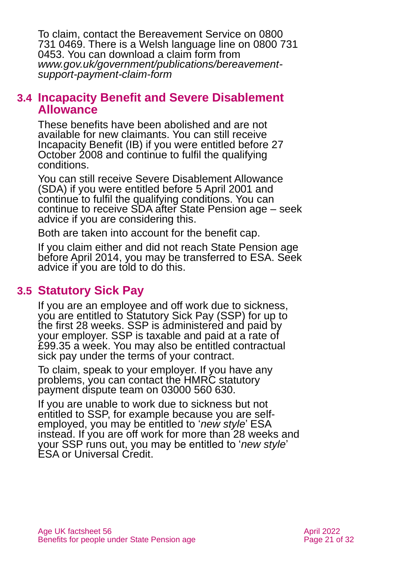To claim, contact the Bereavement Service on 0800 731 0469. There is a Welsh language line on 0800 731 0453. You can download a claim form from *[www.gov.uk/government/publications/bereavement](http://www.gov.uk/government/publications/bereavement-support-payment-claim-form)[support-payment-claim-form](http://www.gov.uk/government/publications/bereavement-support-payment-claim-form)*

## **3.4 Incapacity Benefit and Severe Disablement Allowance**

These benefits have been abolished and are not available for new claimants. You can still receive Incapacity Benefit (IB) if you were entitled before 27 October 2008 and continue to fulfil the qualifying conditions.

You can still receive Severe Disablement Allowance (SDA) if you were entitled before 5 April 2001 and continue to fulfil the qualifying conditions. You can continue to receive SDA after State Pension age – seek advice if you are considering this.

Both are taken into account for the benefit cap.

If you claim either and did not reach State Pension age before April 2014, you may be transferred to ESA. Seek advice if you are told to do this.

## **3.5 Statutory Sick Pay**

If you are an employee and off work due to sickness, you are entitled to Statutory Sick Pay (SSP) for up to the first 28 weeks. SSP is administered and paid by your employer. SSP is taxable and paid at a rate of £99.35 a week. You may also be entitled contractual sick pay under the terms of your contract.

To claim, speak to your employer. If you have any problems, you can contact the HMRC statutory payment dispute team on 03000 560 630.

If you are unable to work due to sickness but not entitled to SSP, for example because you are selfemployed, you may be entitled to '*new style*' ESA instead. If you are off work for more than 28 weeks and your SSP runs out, you may be entitled to '*new style*' ESA or Universal Credit.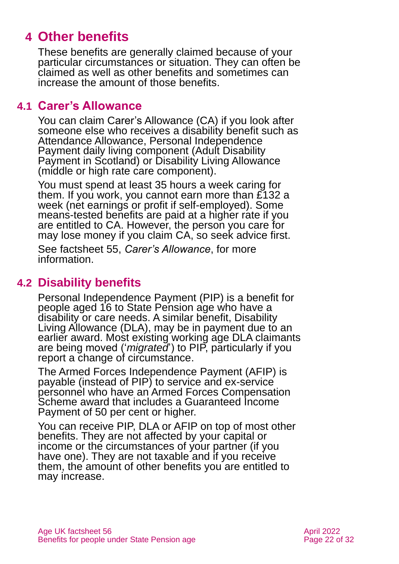# <span id="page-21-0"></span>**4 Other benefits**

These benefits are generally claimed because of your particular circumstances or situation. They can often be claimed as well as other benefits and sometimes can increase the amount of those benefits.

## **4.1 Carer's Allowance**

You can claim Carer's Allowance (CA) if you look after someone else who receives a disability benefit such as Attendance Allowance, Personal Independence Payment daily living component (Adult Disability Payment in Scotland) or Disability Living Allowance (middle or high rate care component).

You must spend at least 35 hours a week caring for them. If you work, you cannot earn more than £132 a week (net earnings or profit if self-employed). Some means-tested benefits are paid at a higher rate if you are entitled to CA. However, the person you care for may lose money if you claim CA, so seek advice first.

See factsheet 55, *[Carer's Allowance](https://www.ageuk.org.uk/globalassets/age-uk/documents/factsheets/fs55_carers_allowance_fcs.pdf)*, for more information.

## **4.2 Disability benefits**

Personal Independence Payment (PIP) is a benefit for people aged 16 to State Pension age who have a disability or care needs. A similar benefit, Disability Living Allowance (DLA), may be in payment due to an earlier award. Most existing working age DLA claimants are being moved ('*migrated*') to PIP, particularly if you report a change of circumstance.

The Armed Forces Independence Payment (AFIP) is payable (instead of PIP) to service and ex-service personnel who have an Armed Forces Compensation Scheme award that includes a Guaranteed Income Payment of 50 per cent or higher.

You can receive PIP, DLA or AFIP on top of most other benefits. They are not affected by your capital or income or the circumstances of your partner (if you have one). They are not taxable and if you receive them, the amount of other benefits you are entitled to may increase.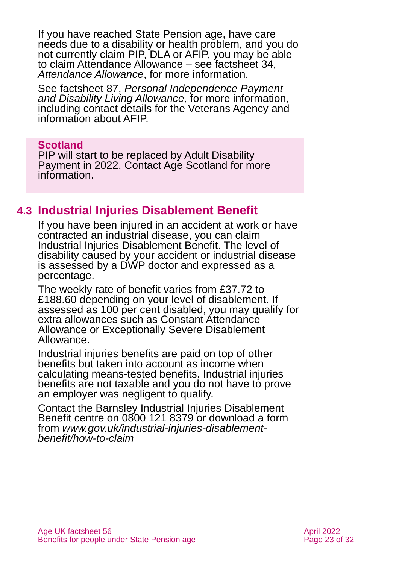If you have reached State Pension age, have care needs due to a disability or health problem, and you do not currently claim PIP, DLA or AFIP, you may be able to claim Attendance Allowance – see [factsheet 34,](https://www.ageuk.org.uk/globalassets/age-uk/documents/factsheets/fs34_attendance_allowance_fcs.pdf)  *[Attendance Allowance](https://www.ageuk.org.uk/globalassets/age-uk/documents/factsheets/fs34_attendance_allowance_fcs.pdf)*, for more information.

See factsheet 87, *[Personal Independence Payment](https://www.ageuk.org.uk/globalassets/age-uk/documents/factsheets/fs87_personal_independence_payment_fcs.pdf)  [and Disability Living Allowance,](https://www.ageuk.org.uk/globalassets/age-uk/documents/factsheets/fs87_personal_independence_payment_fcs.pdf)* for more information, including contact details for the Veterans Agency and information about AFIP.

#### **Scotland**

PIP will start to be replaced by Adult Disability Payment in 2022. Contact [Age Scotland](#page-30-3) for more information.

## **4.3 Industrial Injuries Disablement Benefit**

If you have been injured in an accident at work or have contracted an industrial disease, you can claim Industrial Injuries Disablement Benefit. The level of disability caused by your accident or industrial disease is assessed by a DWP doctor and expressed as a percentage.

The weekly rate of benefit varies from £37.72 to £188.60 depending on your level of disablement. If assessed as 100 per cent disabled, you may qualify for extra allowances such as Constant Attendance Allowance or Exceptionally Severe Disablement Allowance.

Industrial injuries benefits are paid on top of other benefits but taken into account as income when calculating means-tested benefits. Industrial injuries benefits are not taxable and you do not have to prove an employer was negligent to qualify.

Contact the Barnsley Industrial Injuries Disablement Benefit centre on 0800 121 8379 or download a form from *[www.gov.uk/industrial-injuries-disablement](http://www.gov.uk/industrial-injuries-disablement-benefit/how-to-claim)[benefit/how-to-claim](http://www.gov.uk/industrial-injuries-disablement-benefit/how-to-claim)*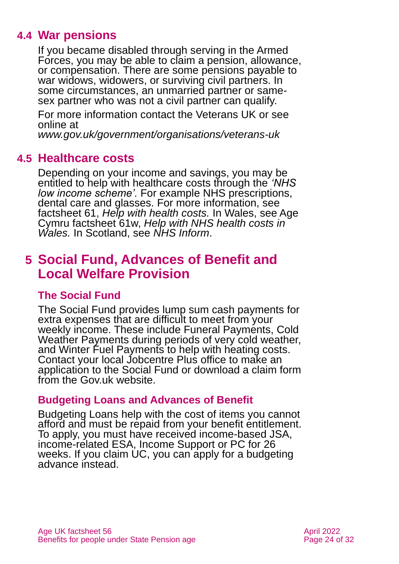## **4.4 War pensions**

If you became disabled through serving in the Armed Forces, you may be able to claim a pension, allowance, or compensation. There are some pensions payable to war widows, widowers, or surviving civil partners. In some circumstances, an unmarried partner or samesex partner who was not a civil partner can qualify.

For more information contact the Veterans UK or see online at

*[www.gov.uk/government/organisations/veterans-uk](http://www.gov.uk/government/organisations/veterans-uk)*

## **4.5 Healthcare costs**

Depending on your income and savings, you may be entitled to help with healthcare costs through the *'NHS low income scheme'.* For example NHS prescriptions, dental care and glasses. For more information, see factsheet 61, *[Help with health costs.](https://www.ageuk.org.uk/globalassets/age-uk/documents/factsheets/fs61_help_with_health_costs_fcs.pdf)* In Wales, see Age Cymru factsheet 61w, *[Help with NHS health costs in](https://www.ageuk.org.uk/globalassets/age-cymru/documents/information-guides-and-factsheets/fs61w.pdf)  [Wales.](https://www.ageuk.org.uk/globalassets/age-cymru/documents/information-guides-and-factsheets/fs61w.pdf)* In Scotland, see *[NHS Inform](https://www.nhsinform.scot/care-support-and-rights/health-rights/access/help-with-health-costs/)*.

## <span id="page-23-0"></span>**5 Social Fund, Advances of Benefit and Local Welfare Provision**

## **The Social Fund**

The Social Fund provides lump sum cash payments for extra expenses that are difficult to meet from your weekly income. These include Funeral Payments, Cold Weather Payments during periods of very cold weather, and Winter Fuel Payments to help with heating costs. Contact your local Jobcentre Plus office to make an application to the Social Fund or download a claim form from the [Gov.uk](https://www.gov.uk/) website.

## **Budgeting Loans and Advances of Benefit**

Budgeting Loans help with the cost of items you cannot afford and must be repaid from your benefit entitlement. To apply, you must have received income-based JSA, income-related ESA, Income Support or PC for 26 weeks. If you claim UC, you can apply for a budgeting advance instead.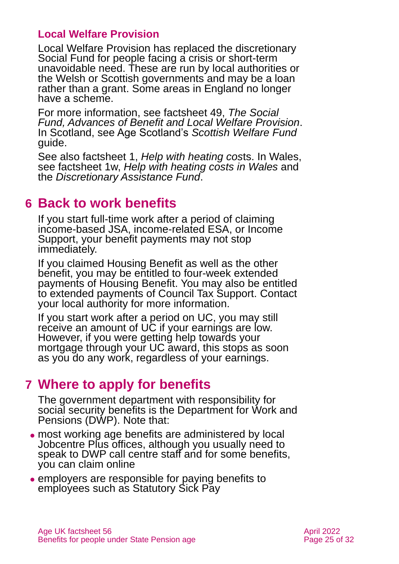## **Local Welfare Provision**

Local Welfare Provision has replaced the discretionary Social Fund for people facing a crisis or short-term unavoidable need. These are run by local authorities or the Welsh or Scottish governments and may be a loan rather than a grant. Some areas in England no longer have a scheme.

For more information, see [factsheet 49,](https://www.ageuk.org.uk/globalassets/age-uk/documents/factsheets/fs49_the_social_fund_advances_of_benefit_and_local_welfare_provision_fcs.pdf) *The Social [Fund, Advances of Benefit and Local Welfare Provision](https://www.ageuk.org.uk/globalassets/age-uk/documents/factsheets/fs49_the_social_fund_advances_of_benefit_and_local_welfare_provision_fcs.pdf)*. In Scotland, see Age Scotland's *[Scottish Welfare Fund](https://www.ageuk.org.uk/scotland/information-advice/benefits/scottish-welfare-fund/)*  [guide.](https://www.ageuk.org.uk/scotland/information-advice/benefits/scottish-welfare-fund/)

See also factsheet 1, *[Help with heating cos](https://www.ageuk.org.uk/globalassets/age-uk/documents/factsheets/fs1_help_with_heating_costs_fcs.pdf)*ts. In Wales, see factsheet 1w, *[Help with heating costs in Wales](https://www.ageuk.org.uk/globalassets/age-cymru/documents/information-guides-and-factsheets/fs1w.pdf)* and the *[Discretionary Assistance Fund](https://gov.wales/discretionary-assistance-fund-daf)*.

## <span id="page-24-0"></span>**6 Back to work benefits**

If you start full-time work after a period of claiming income-based JSA, income-related ESA, or Income Support, your benefit payments may not stop immediately.

If you claimed Housing Benefit as well as the other benefit, you may be entitled to four-week extended payments of Housing Benefit. You may also be entitled to extended payments of Council Tax Support. Contact your local authority for more information.

If you start work after a period on UC, you may still receive an amount of UC if your earnings are low. However, if you were getting help towards your mortgage through your UC award, this stops as soon as you do any work, regardless of your earnings.

# <span id="page-24-1"></span>**7 Where to apply for benefits**

The government department with responsibility for social security benefits is the Department for Work and Pensions (DWP). Note that:

- ⚫ most working age benefits are administered by local Jobcentre Plus offices, although you usually need to speak to DWP call centre staff and for some benefits, you can claim online
- ⚫ employers are responsible for paying benefits to employees such as Statutory Sick Pay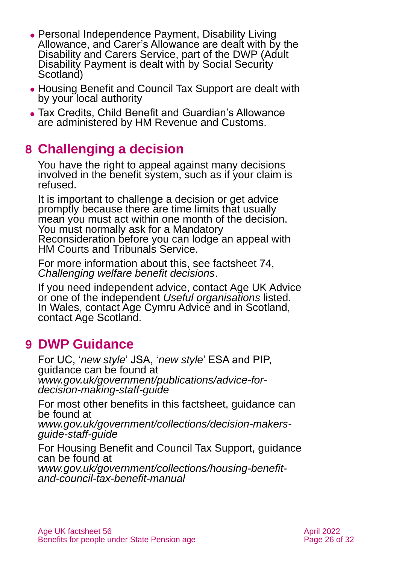- ⚫ Personal Independence Payment, Disability Living Allowance, and Carer's Allowance are dealt with by the Disability and Carers Service, part of the DWP (Adult Disability Payment is dealt with by Social Security Scotland)
- ⚫ Housing Benefit and Council Tax Support are dealt with by your local authority
- ⚫ Tax Credits, Child Benefit and Guardian's Allowance are administered by HM Revenue and Customs.

# <span id="page-25-0"></span>**8 Challenging a decision**

You have the right to appeal against many decisions involved in the benefit system, such as if your claim is refused.

It is important to challenge a decision or get advice promptly because there are time limits that usually mean you must act within one month of the decision. You must normally ask for a Mandatory Reconsideration before you can lodge an appeal with HM Courts and Tribunals Service.

For more information about this, see factsheet 74, *[Challenging welfare benefit decisions](https://www.ageuk.org.uk/globalassets/age-uk/documents/factsheets/fs74_challenging_welfare_benefit_decisions_fcs.pdf)*.

If you need independent advice, contact [Age UK Advice](#page-30-1) or one of the independent *[Useful organisations](#page-27-0)* listed. In Wales, contact [Age Cymru Advice](#page-30-4) and in Scotland, [contact Age Scotland.](#page-30-4)

# <span id="page-25-1"></span>**9 DWP Guidance**

For UC, '*new style*' JSA, '*new style*' ESA and PIP, guidance can be found at *[www.gov.uk/government/publications/advice-for](http://www.gov.uk/government/publications/advice-for-decision-making-staff-guide)[decision-making-staff-guide](http://www.gov.uk/government/publications/advice-for-decision-making-staff-guide)*

For most other benefits in this factsheet, guidance can be found at *[www.gov.uk/government/collections/decision-makers](http://www.gov.uk/government/collections/decision-makers-guide-staff-guide)[guide-staff-guide](http://www.gov.uk/government/collections/decision-makers-guide-staff-guide)*

For Housing Benefit and Council Tax Support, guidance can be found at *[www.gov.uk/government/collections/housing-benefit](http://www.gov.uk/government/collections/housing-benefit-and-council-tax-benefit-manual)[and-council-tax-benefit-manual](http://www.gov.uk/government/collections/housing-benefit-and-council-tax-benefit-manual)*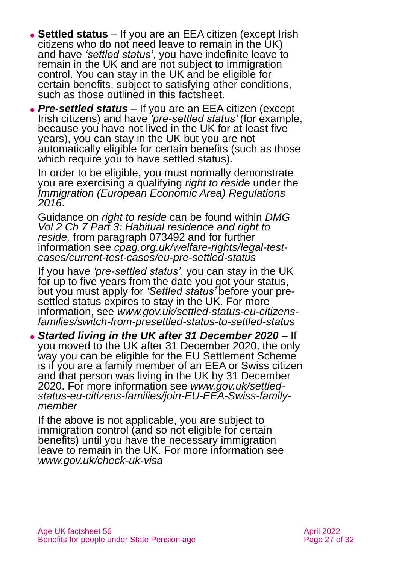- ⚫ **Settled status** If you are an EEA citizen (except Irish citizens who do not need leave to remain in the UK) and have *'settled status'*, you have indefinite leave to remain in the UK and are not subject to immigration control. You can stay in the UK and be eligible for certain benefits, subject to satisfying other conditions, such as those outlined in this factsheet.
- ⚫ *Pre-settled status –* If you are an EEA citizen (except Irish citizens) and have *'pre-settled status'* (for example, because you have not lived in the UK for at least five years), you can stay in the UK but you are not automatically eligible for certain benefits (such as those which require you to have settled status).

In order to be eligible, you must normally demonstrate you are exercising a qualifying *right to reside* under the *[Immigration \(European Economic Area\) Regulations](https://www.legislation.gov.uk/uksi/2016/1052/made)  [2016](https://www.legislation.gov.uk/uksi/2016/1052/made)*.

Guidance on *right to reside* can be found within *[DMG](https://assets.publishing.service.gov.uk/government/uploads/system/uploads/attachment_data/file/949265/dmg-chapter-07-part-03-habitual-residence-and-right-to-reside-is-jsa-spc-esa-072770-073779.pdf)  [Vol 2 Ch 7 Part 3: Habitual residence and right to](https://assets.publishing.service.gov.uk/government/uploads/system/uploads/attachment_data/file/949265/dmg-chapter-07-part-03-habitual-residence-and-right-to-reside-is-jsa-spc-esa-072770-073779.pdf)  [reside,](https://assets.publishing.service.gov.uk/government/uploads/system/uploads/attachment_data/file/949265/dmg-chapter-07-part-03-habitual-residence-and-right-to-reside-is-jsa-spc-esa-072770-073779.pdf)* from paragraph 073492 and for further information see *[cpag.org.uk/welfare-rights/legal-test](https://cpag.org.uk/welfare-rights/legal-test-cases/current-test-cases/eu-pre-settled-status)[cases/current-test-cases/eu-pre-settled-status](https://cpag.org.uk/welfare-rights/legal-test-cases/current-test-cases/eu-pre-settled-status)*

If you have *'pre-settled status'*, you can stay in the UK for up to five years from the date you got your status, but you must apply for *'Settled status'* before your presettled status expires to stay in the UK. For more information, see *[www.gov.uk/settled-status-eu-citizens](http://www.gov.uk/settled-status-eu-citizens-families/switch-from-presettled-status-to-settled-status)[families/switch-from-presettled-status-to-settled-status](http://www.gov.uk/settled-status-eu-citizens-families/switch-from-presettled-status-to-settled-status)*

⚫ *Started living in the UK after 31 December 2020 –* If you moved to the UK after 31 December 2020, the only way you can be eligible for the EU Settlement Scheme is if you are a family member of an EEA or Swiss citizen and that person was living in the UK by 31 December 2020. For more information see *[www.gov.uk/settled](http://www.gov.uk/settled-status-eu-citizens-families/join-EU-EEA-Swiss-family-member)[status-eu-citizens-families/join-EU-EEA-Swiss-family](http://www.gov.uk/settled-status-eu-citizens-families/join-EU-EEA-Swiss-family-member)[member](http://www.gov.uk/settled-status-eu-citizens-families/join-EU-EEA-Swiss-family-member)*

If the above is not applicable, you are subject to immigration control (and so not eligible for certain benefits) until you have the necessary immigration leave to remain in the UK. For more information see *[www.gov.uk/check-uk-visa](http://www.gov.uk/check-uk-visa)*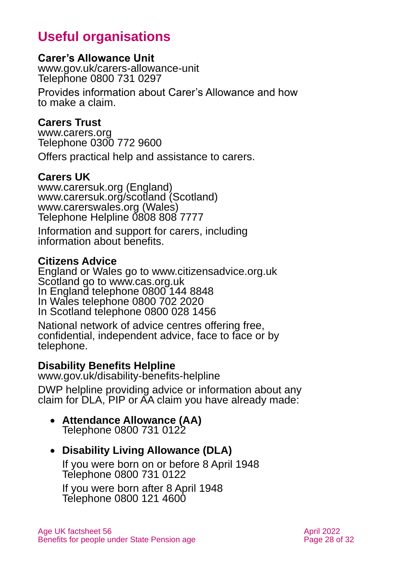# **Useful organisations**

#### <span id="page-27-0"></span>**Carer's Allowance Unit**

[www.gov.uk/carers-allowance-unit](http://www.gov.uk/carers-allowance-unit) Telephone 0800 731 0297

Provides information about Carer's Allowance and how to make a claim.

#### **Carers Trust**

[www.carers.org](http://www.carers.org/) Telephone 0300 772 9600

Offers practical help and assistance to carers.

#### **Carers UK**

[www.carersuk.org](http://www.carersuk.org/) (England) [www.carersuk.org/scotland](http://www.carersuk.org/scotland) (Scotland) [www.carerswales.org](http://www.carerswales.org/) (Wales) Telephone Helpline 0808 808 7777

Information and support for carers, including information about benefits.

#### **Citizens Advice**

England or Wales go to [www.citizensadvice.org.uk](http://www.citizensadvice.org.uk/) Scotland go to [www.cas.org.uk](http://www.cas.org.uk/) In England telephone 0800 144 8848 In Wales telephone 0800 702 2020 In Scotland telephone 0800 028 1456

National network of advice centres offering free, confidential, independent advice, face to face or by telephone.

#### **Disability Benefits Helpline**

[www.gov.uk/disability-benefits-helpline](http://www.gov.uk/disability-benefits-helpline)

DWP helpline providing advice or information about any claim for DLA, PIP or AA claim you have already made:

#### • **Attendance Allowance (AA)** Telephone 0800 731 0122

## • **Disability Living Allowance (DLA)**

If you were born on or before 8 April 1948 Telephone 0800 731 0122 If you were born after 8 April 1948

Telephone 0800 121 4600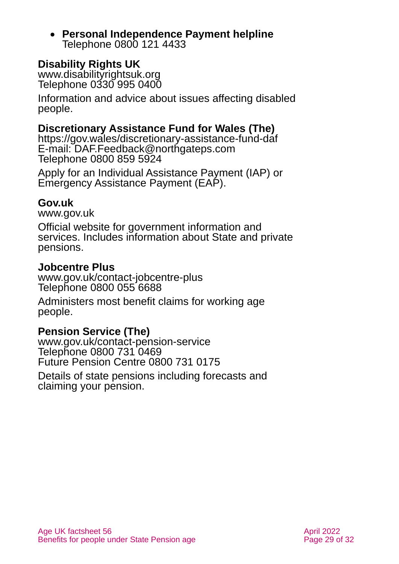• **Personal Independence Payment helpline** Telephone 0800 121 4433

## **Disability Rights UK**

[www.disabilityrightsuk.org](http://www.disabilityrightsuk.org/) Telephone 0330 995 0400

Information and advice about issues affecting disabled people.

#### **Discretionary Assistance Fund for Wales (The)**

<https://gov.wales/discretionary-assistance-fund-daf> E-mail: DAF.Feedback@northgateps.com Telephone 0800 859 5924

Apply for an Individual Assistance Payment (IAP) or Emergency Assistance Payment (EAP).

#### **Gov.uk**

[www.gov.uk](http://www.gov.uk/)

Official website for government information and services. Includes information about State and private pensions.

#### **Jobcentre Plus**

[www.gov.uk/contact-jobcentre-plus](http://www.gov.uk/contact-jobcentre-plus) Telephone 0800 055 6688

Administers most benefit claims for working age people.

#### **Pension Service (The)**

[www.gov.uk/contact-pension-service](http://www.gov.uk/contact-pension-service) Telephone 0800 731 0469 Future Pension Centre 0800 731 0175

Details of state pensions including forecasts and claiming your pension.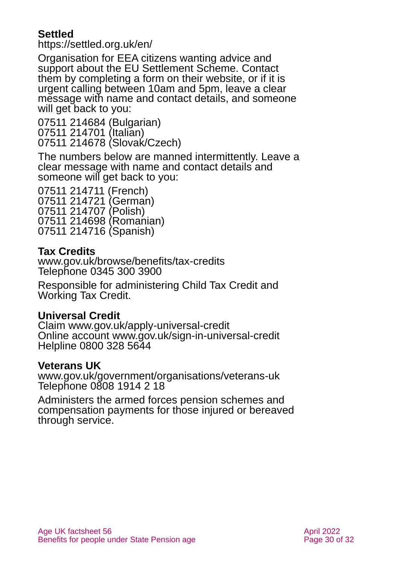## **Settled**

<https://settled.org.uk/en/>

Organisation for EEA citizens wanting advice and support about the EU Settlement Scheme. Contact them by completing a form on their website, or if it is urgent calling between 10am and 5pm, leave a clear message with name and contact details, and someone will get back to you:

07511 214684 (Bulgarian) 07511 214701 (Italian) 07511 214678 (Slovak/Czech)

The numbers below are manned intermittently. Leave a clear message with name and contact details and someone will get back to you:

07511 214711 (French) 07511 214721 (German) 07511 214707 (Polish) 07511 214698 (Romanian) 07511 214716 (Spanish)

## **Tax Credits**

[www.gov.uk/browse/benefits/tax-credits](http://www.gov.uk/browse/benefits/tax-credits)  Telephone 0345 300 3900

Responsible for administering Child Tax Credit and Working Tax Credit.

## **Universal Credit**

Claim [www.gov.uk/apply-universal-credit](http://www.gov.uk/apply-universal-credit) Online account [www.gov.uk/sign-in-universal-credit](http://www.gov.uk/sign-in-universal-credit) Helpline 0800 328 5644

#### **Veterans UK**

[www.gov.uk/government/organisations/veterans-uk](http://www.gov.uk/government/organisations/veterans-uk) Telephone 0808 1914 2 18

Administers the armed forces pension schemes and compensation payments for those injured or bereaved through service.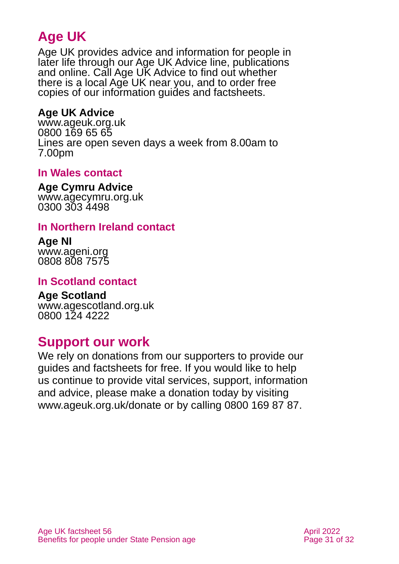# **Age UK**

Age UK provides advice and information for people in later life through our Age UK Advice line, publications and online. Call Age UK Advice to find out whether there is a local Age UK near you, and to order free copies of our information guides and factsheets.

## <span id="page-30-1"></span>**Age UK Advice**

[www.ageuk.org.uk](http://www.ageuk.org.uk/) 0800 169 65 65 Lines are open seven days a week from 8.00am to 7.00pm

## <span id="page-30-4"></span>**In Wales contact**

**Age Cymru Advice**

[www.agecymru.org.uk](http://www.agecymru.org.uk/) 0300 303 4498

## <span id="page-30-0"></span>**In Northern Ireland contact**

**Age NI** [www.ageni.org](http://www.ageni.org/) 0808 808 7575

#### <span id="page-30-3"></span>**In Scotland contact**

<span id="page-30-2"></span>**Age Scotland** [www.agescotland.org.uk](http://www.agescotland.org.uk/) 0800 124 4222

## **Support our work**

We rely on donations from our supporters to provide our guides and factsheets for free. If you would like to help us continue to provide vital services, support, information and advice, please make a donation today by visiting [www.ageuk.org.uk/donate](http://www.ageuk.org.uk/donate) or by calling 0800 169 87 87.